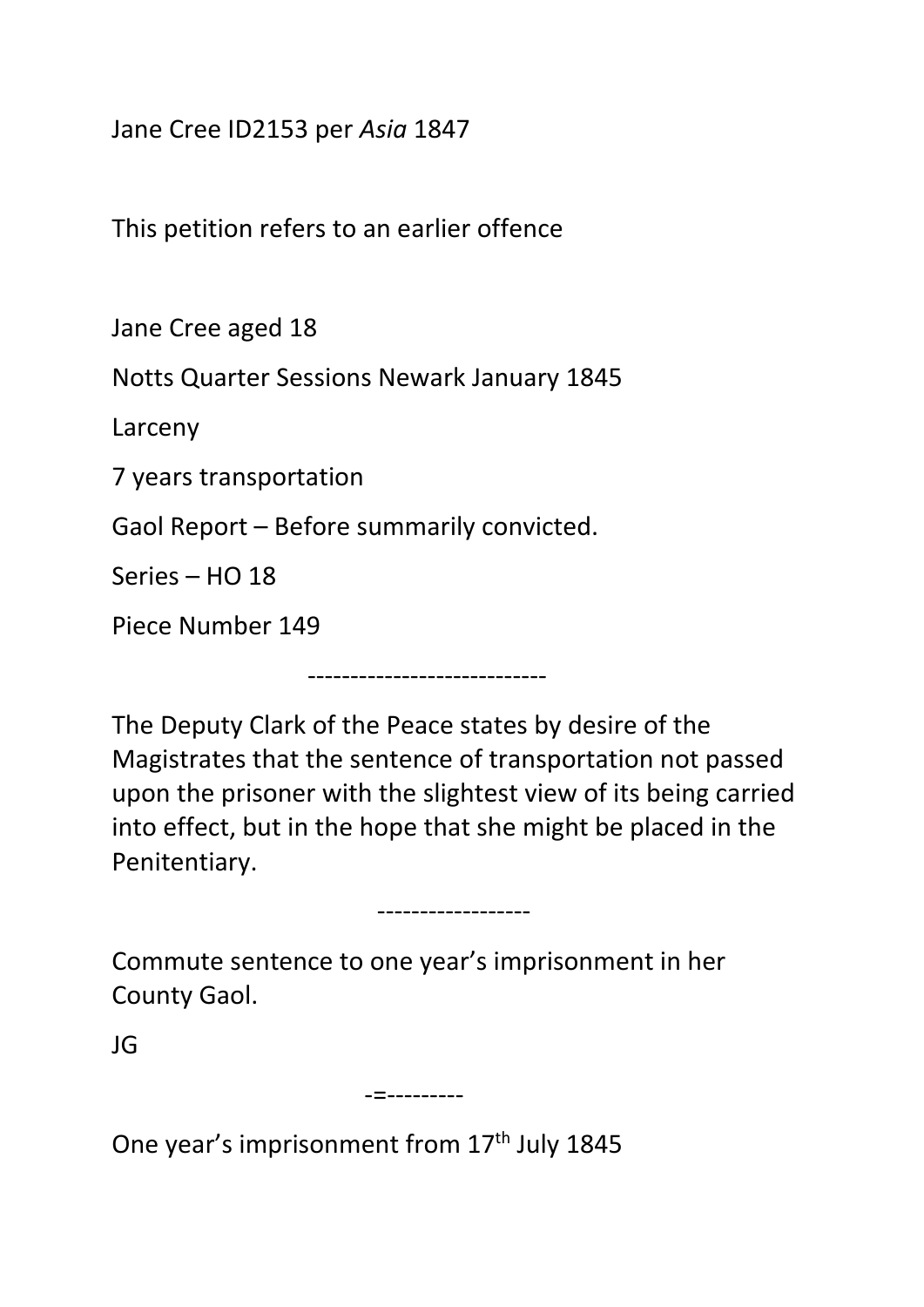Jane Cree ID2153 per *Asia* 1847

This petition refers to an earlier offence

Jane Cree aged 18

Notts Quarter Sessions Newark January 1845

Larceny

7 years transportation

Gaol Report – Before summarily convicted.

Series – HO 18

Piece Number 149

The Deputy Clark of the Peace states by desire of the Magistrates that the sentence of transportation not passed upon the prisoner with the slightest view of its being carried into effect, but in the hope that she might be placed in the Penitentiary.

----------------------------

------------------

Commute sentence to one year's imprisonment in her County Gaol.

JG

-=---------

One year's imprisonment from 17<sup>th</sup> July 1845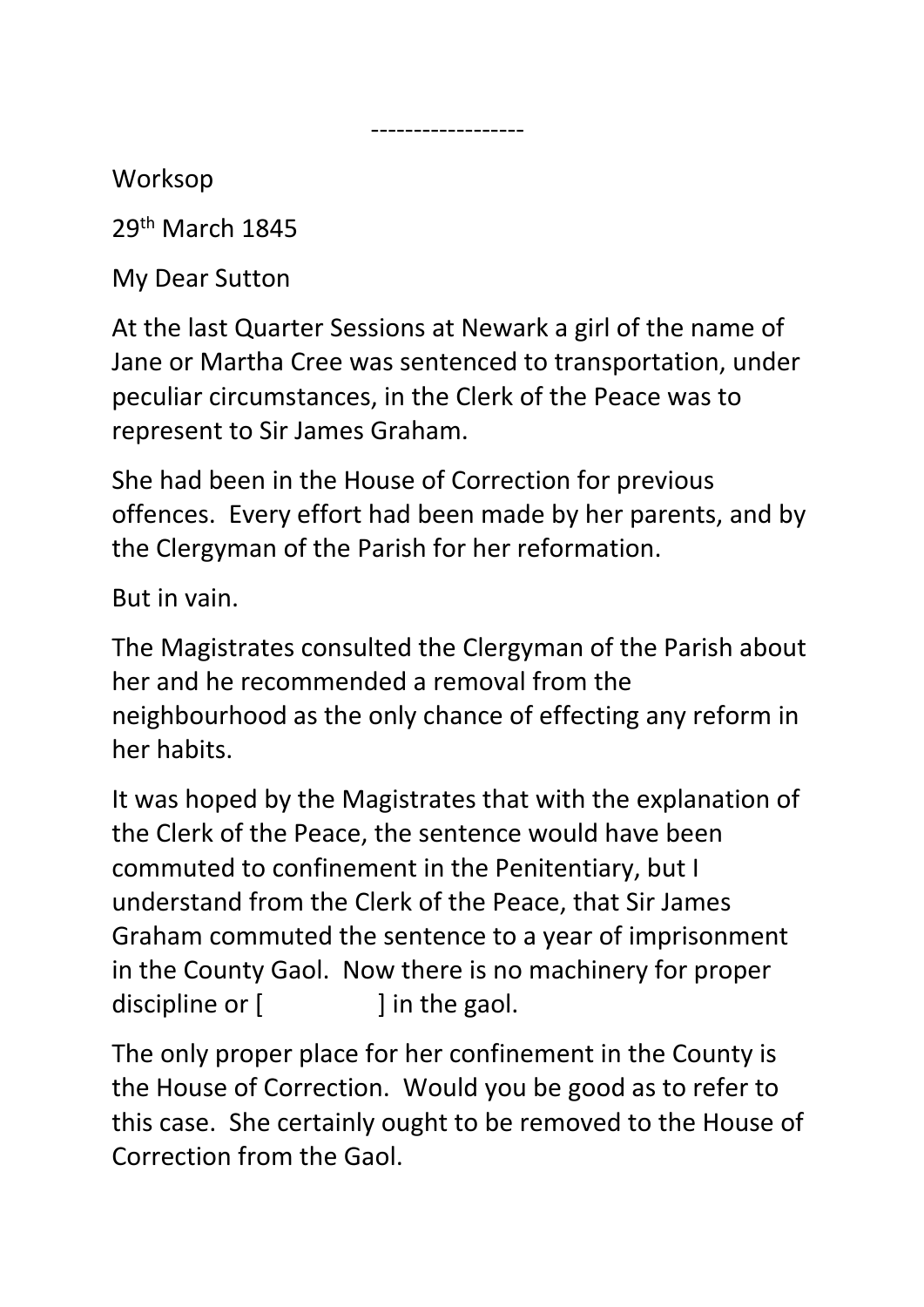Worksop

29th March 1845

------------------

My Dear Sutton

At the last Quarter Sessions at Newark a girl of the name of Jane or Martha Cree was sentenced to transportation, under peculiar circumstances, in the Clerk of the Peace was to represent to Sir James Graham.

She had been in the House of Correction for previous offences. Every effort had been made by her parents, and by the Clergyman of the Parish for her reformation.

But in vain.

The Magistrates consulted the Clergyman of the Parish about her and he recommended a removal from the neighbourhood as the only chance of effecting any reform in her habits.

It was hoped by the Magistrates that with the explanation of the Clerk of the Peace, the sentence would have been commuted to confinement in the Penitentiary, but I understand from the Clerk of the Peace, that Sir James Graham commuted the sentence to a year of imprisonment in the County Gaol. Now there is no machinery for proper discipline or  $\begin{bmatrix} \cdot & \cdot & \cdot \\ \cdot & \cdot & \cdot \\ \cdot & \cdot & \cdot \end{bmatrix}$  in the gaol.

The only proper place for her confinement in the County is the House of Correction. Would you be good as to refer to this case. She certainly ought to be removed to the House of Correction from the Gaol.